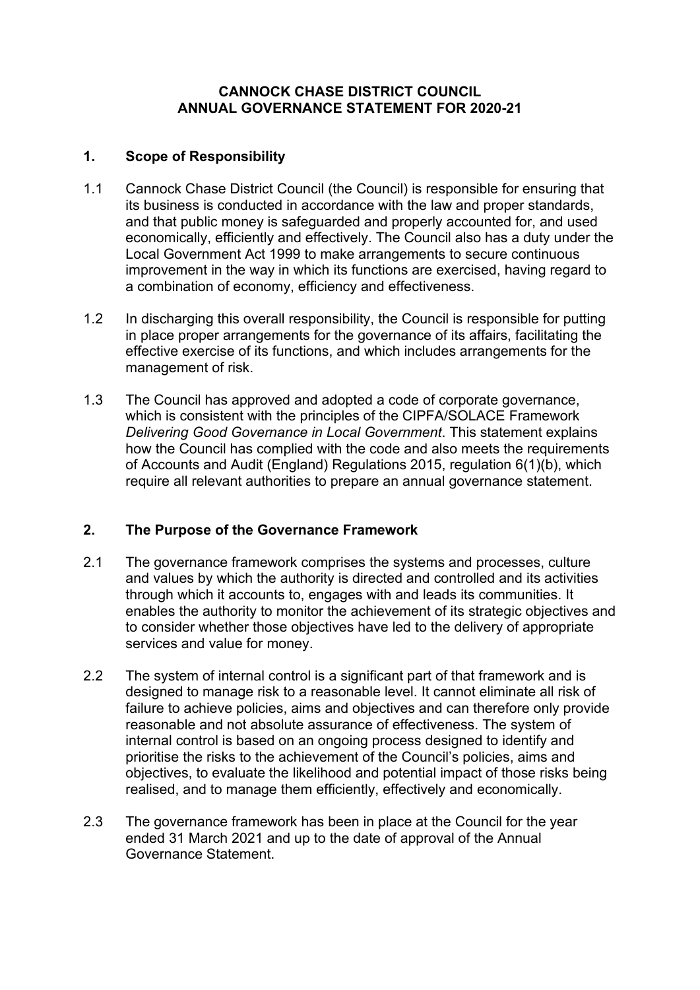#### **CANNOCK CHASE DISTRICT COUNCIL ANNUAL GOVERNANCE STATEMENT FOR 2020-21**

#### **1. Scope of Responsibility**

- 1.1 Cannock Chase District Council (the Council) is responsible for ensuring that its business is conducted in accordance with the law and proper standards, and that public money is safeguarded and properly accounted for, and used economically, efficiently and effectively. The Council also has a duty under the Local Government Act 1999 to make arrangements to secure continuous improvement in the way in which its functions are exercised, having regard to a combination of economy, efficiency and effectiveness.
- 1.2 In discharging this overall responsibility, the Council is responsible for putting in place proper arrangements for the governance of its affairs, facilitating the effective exercise of its functions, and which includes arrangements for the management of risk.
- 1.3 The Council has approved and adopted a code of corporate governance, which is consistent with the principles of the CIPFA/SOLACE Framework *Delivering Good Governance in Local Government*. This statement explains how the Council has complied with the code and also meets the requirements of Accounts and Audit (England) Regulations 2015, regulation 6(1)(b), which require all relevant authorities to prepare an annual governance statement.

### **2. The Purpose of the Governance Framework**

- 2.1 The governance framework comprises the systems and processes, culture and values by which the authority is directed and controlled and its activities through which it accounts to, engages with and leads its communities. It enables the authority to monitor the achievement of its strategic objectives and to consider whether those objectives have led to the delivery of appropriate services and value for money.
- 2.2 The system of internal control is a significant part of that framework and is designed to manage risk to a reasonable level. It cannot eliminate all risk of failure to achieve policies, aims and objectives and can therefore only provide reasonable and not absolute assurance of effectiveness. The system of internal control is based on an ongoing process designed to identify and prioritise the risks to the achievement of the Council's policies, aims and objectives, to evaluate the likelihood and potential impact of those risks being realised, and to manage them efficiently, effectively and economically.
- 2.3 The governance framework has been in place at the Council for the year ended 31 March 2021 and up to the date of approval of the Annual **Governance Statement.**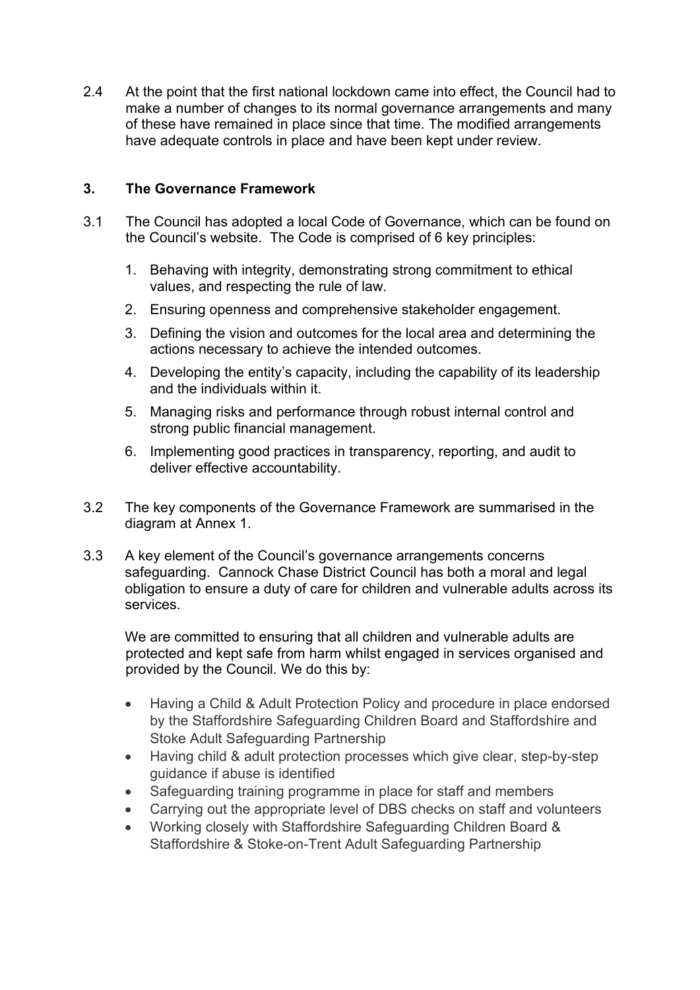2.4 At the point that the first national lockdown came into effect, the Council had to make a number of changes to its normal governance arrangements and many of these have remained in place since that time. The modified arrangements have adequate controls in place and have been kept under review.

#### **3. The Governance Framework**

- 3.1 The Council has adopted a local Code of Governance, which can be found on the Council's website. The Code is comprised of 6 key principles:
	- 1. Behaving with integrity, demonstrating strong commitment to ethical values, and respecting the rule of law.
	- 2. Ensuring openness and comprehensive stakeholder engagement.
	- 3. Defining the vision and outcomes for the local area and determining the actions necessary to achieve the intended outcomes.
	- 4. Developing the entity's capacity, including the capability of its leadership and the individuals within it.
	- 5. Managing risks and performance through robust internal control and strong public financial management.
	- 6. Implementing good practices in transparency, reporting, and audit to deliver effective accountability.
- 3.2 The key components of the Governance Framework are summarised in the diagram at Annex 1.
- 3.3 A key element of the Council's governance arrangements concerns safeguarding. Cannock Chase District Council has both a moral and legal obligation to ensure a duty of care for children and vulnerable adults across its services.

We are committed to ensuring that all children and vulnerable adults are protected and kept safe from harm whilst engaged in services organised and provided by the Council. We do this by:

- Having a Child & Adult Protection Policy and procedure in place endorsed by the Staffordshire Safeguarding Children Board and Staffordshire and Stoke Adult Safeguarding Partnership
- Having child & adult protection processes which give clear, step-by-step guidance if abuse is identified
- Safeguarding training programme in place for staff and members
- Carrying out the appropriate level of DBS checks on staff and volunteers
- Working closely with Staffordshire Safeguarding Children Board & Staffordshire & Stoke-on-Trent Adult Safeguarding Partnership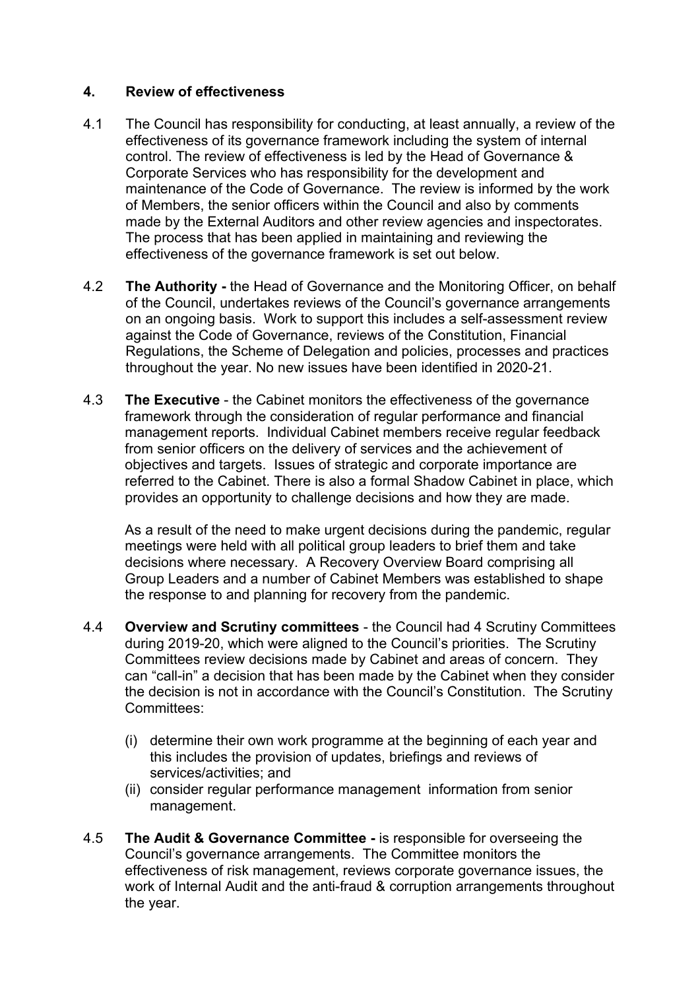#### **4. Review of effectiveness**

- 4.1 The Council has responsibility for conducting, at least annually, a review of the effectiveness of its governance framework including the system of internal control. The review of effectiveness is led by the Head of Governance & Corporate Services who has responsibility for the development and maintenance of the Code of Governance. The review is informed by the work of Members, the senior officers within the Council and also by comments made by the External Auditors and other review agencies and inspectorates. The process that has been applied in maintaining and reviewing the effectiveness of the governance framework is set out below.
- 4.2 **The Authority -** the Head of Governance and the Monitoring Officer, on behalf of the Council, undertakes reviews of the Council's governance arrangements on an ongoing basis. Work to support this includes a self-assessment review against the Code of Governance, reviews of the Constitution, Financial Regulations, the Scheme of Delegation and policies, processes and practices throughout the year. No new issues have been identified in 2020-21.
- 4.3 **The Executive** the Cabinet monitors the effectiveness of the governance framework through the consideration of regular performance and financial management reports. Individual Cabinet members receive regular feedback from senior officers on the delivery of services and the achievement of objectives and targets. Issues of strategic and corporate importance are referred to the Cabinet. There is also a formal Shadow Cabinet in place, which provides an opportunity to challenge decisions and how they are made.

As a result of the need to make urgent decisions during the pandemic, regular meetings were held with all political group leaders to brief them and take decisions where necessary. A Recovery Overview Board comprising all Group Leaders and a number of Cabinet Members was established to shape the response to and planning for recovery from the pandemic.

- 4.4 **Overview and Scrutiny committees** the Council had 4 Scrutiny Committees during 2019-20, which were aligned to the Council's priorities. The Scrutiny Committees review decisions made by Cabinet and areas of concern. They can "call-in" a decision that has been made by the Cabinet when they consider the decision is not in accordance with the Council's Constitution. The Scrutiny Committees:
	- (i) determine their own work programme at the beginning of each year and this includes the provision of updates, briefings and reviews of services/activities; and
	- (ii) consider regular performance management information from senior management.
- 4.5 **The Audit & Governance Committee -** is responsible for overseeing the Council's governance arrangements. The Committee monitors the effectiveness of risk management, reviews corporate governance issues, the work of Internal Audit and the anti-fraud & corruption arrangements throughout the year.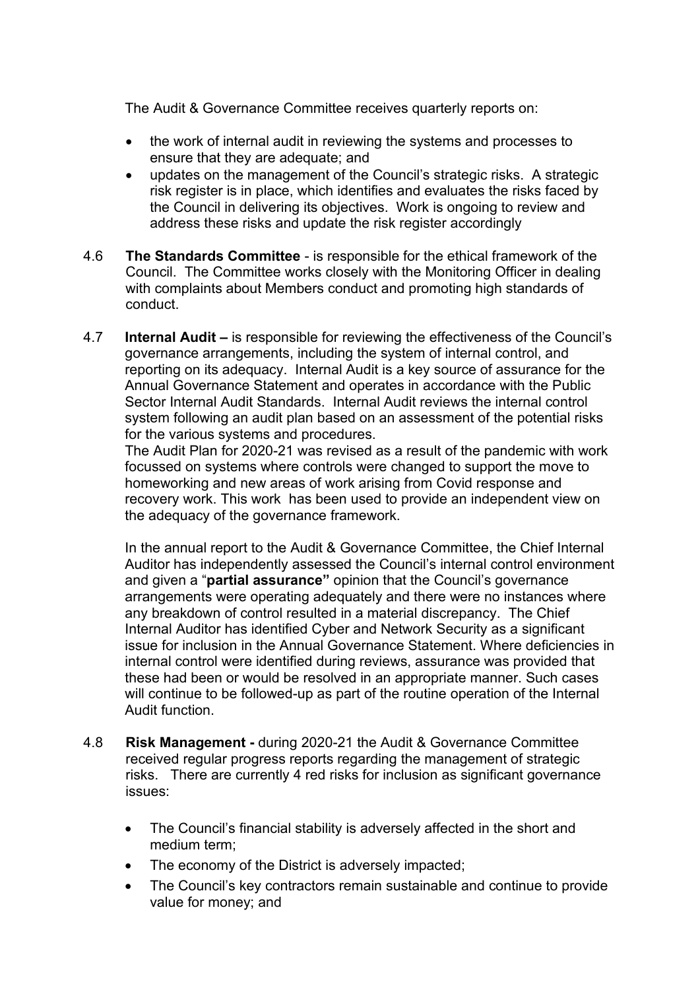The Audit & Governance Committee receives quarterly reports on:

- the work of internal audit in reviewing the systems and processes to ensure that they are adequate; and
- updates on the management of the Council's strategic risks. A strategic risk register is in place, which identifies and evaluates the risks faced by the Council in delivering its objectives. Work is ongoing to review and address these risks and update the risk register accordingly
- 4.6 **The Standards Committee** is responsible for the ethical framework of the Council. The Committee works closely with the Monitoring Officer in dealing with complaints about Members conduct and promoting high standards of conduct.
- 4.7 **Internal Audit –** is responsible for reviewing the effectiveness of the Council's governance arrangements, including the system of internal control, and reporting on its adequacy. Internal Audit is a key source of assurance for the Annual Governance Statement and operates in accordance with the Public Sector Internal Audit Standards. Internal Audit reviews the internal control system following an audit plan based on an assessment of the potential risks for the various systems and procedures.

The Audit Plan for 2020-21 was revised as a result of the pandemic with work focussed on systems where controls were changed to support the move to homeworking and new areas of work arising from Covid response and recovery work. This work has been used to provide an independent view on the adequacy of the governance framework.

In the annual report to the Audit & Governance Committee, the Chief Internal Auditor has independently assessed the Council's internal control environment and given a "**partial assurance"** opinion that the Council's governance arrangements were operating adequately and there were no instances where any breakdown of control resulted in a material discrepancy. The Chief Internal Auditor has identified Cyber and Network Security as a significant issue for inclusion in the Annual Governance Statement. Where deficiencies in internal control were identified during reviews, assurance was provided that these had been or would be resolved in an appropriate manner. Such cases will continue to be followed-up as part of the routine operation of the Internal Audit function.

- 4.8 **Risk Management -** during 2020-21 the Audit & Governance Committee received regular progress reports regarding the management of strategic risks. There are currently 4 red risks for inclusion as significant governance issues:
	- The Council's financial stability is adversely affected in the short and medium term;
	- The economy of the District is adversely impacted;
	- The Council's key contractors remain sustainable and continue to provide value for money; and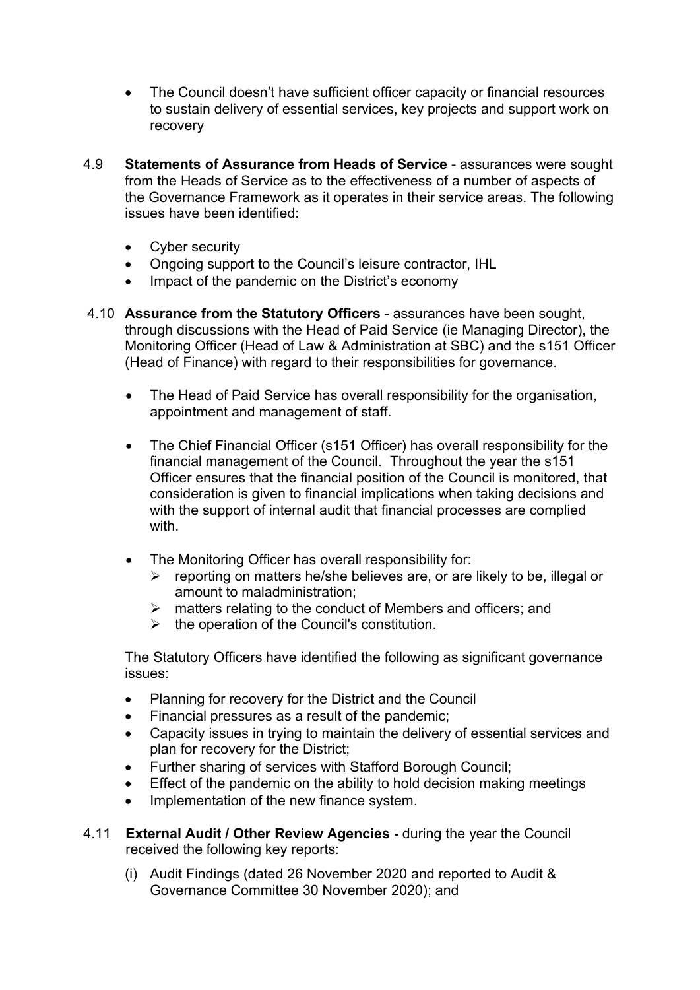- The Council doesn't have sufficient officer capacity or financial resources to sustain delivery of essential services, key projects and support work on recovery
- 4.9 **Statements of Assurance from Heads of Service**  assurances were sought from the Heads of Service as to the effectiveness of a number of aspects of the Governance Framework as it operates in their service areas. The following issues have been identified:
	- Cyber security
	- Ongoing support to the Council's leisure contractor, IHL
	- Impact of the pandemic on the District's economy
- 4.10 **Assurance from the Statutory Officers** assurances have been sought, through discussions with the Head of Paid Service (ie Managing Director), the Monitoring Officer (Head of Law & Administration at SBC) and the s151 Officer (Head of Finance) with regard to their responsibilities for governance.
	- The Head of Paid Service has overall responsibility for the organisation, appointment and management of staff.
	- The Chief Financial Officer (s151 Officer) has overall responsibility for the financial management of the Council. Throughout the year the s151 Officer ensures that the financial position of the Council is monitored, that consideration is given to financial implications when taking decisions and with the support of internal audit that financial processes are complied with.
	- The Monitoring Officer has overall responsibility for:
		- $\triangleright$  reporting on matters he/she believes are, or are likely to be, illegal or amount to maladministration;
		- $\triangleright$  matters relating to the conduct of Members and officers; and
		- $\triangleright$  the operation of the Council's constitution.

The Statutory Officers have identified the following as significant governance issues:

- Planning for recovery for the District and the Council
- Financial pressures as a result of the pandemic;
- Capacity issues in trying to maintain the delivery of essential services and plan for recovery for the District;
- Further sharing of services with Stafford Borough Council;
- Effect of the pandemic on the ability to hold decision making meetings
- Implementation of the new finance system.
- 4.11 **External Audit / Other Review Agencies -** during the year the Council received the following key reports:
	- (i) Audit Findings (dated 26 November 2020 and reported to Audit & Governance Committee 30 November 2020); and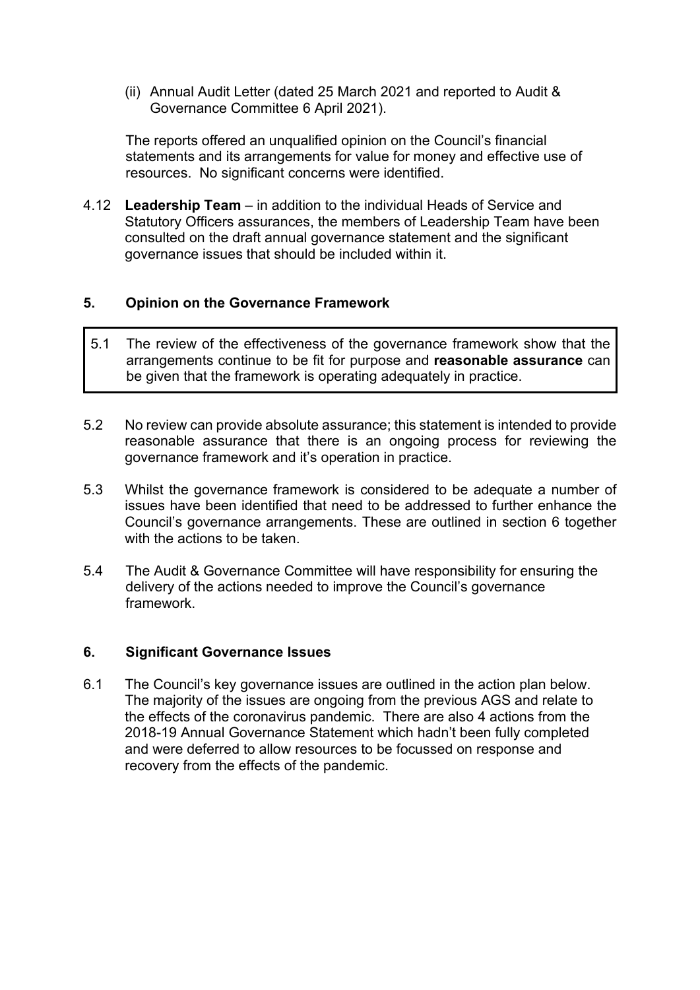(ii) Annual Audit Letter (dated 25 March 2021 and reported to Audit & Governance Committee 6 April 2021).

The reports offered an unqualified opinion on the Council's financial statements and its arrangements for value for money and effective use of resources. No significant concerns were identified.

4.12 **Leadership Team** – in addition to the individual Heads of Service and Statutory Officers assurances, the members of Leadership Team have been consulted on the draft annual governance statement and the significant governance issues that should be included within it.

#### **5. Opinion on the Governance Framework**

- 5.1 The review of the effectiveness of the governance framework show that the arrangements continue to be fit for purpose and **reasonable assurance** can be given that the framework is operating adequately in practice.
- 5.2 No review can provide absolute assurance; this statement is intended to provide reasonable assurance that there is an ongoing process for reviewing the governance framework and it's operation in practice.
- 5.3 Whilst the governance framework is considered to be adequate a number of issues have been identified that need to be addressed to further enhance the Council's governance arrangements. These are outlined in section 6 together with the actions to be taken.
- 5.4 The Audit & Governance Committee will have responsibility for ensuring the delivery of the actions needed to improve the Council's governance framework.

#### **6. Significant Governance Issues**

6.1 The Council's key governance issues are outlined in the action plan below. The majority of the issues are ongoing from the previous AGS and relate to the effects of the coronavirus pandemic. There are also 4 actions from the 2018-19 Annual Governance Statement which hadn't been fully completed and were deferred to allow resources to be focussed on response and recovery from the effects of the pandemic.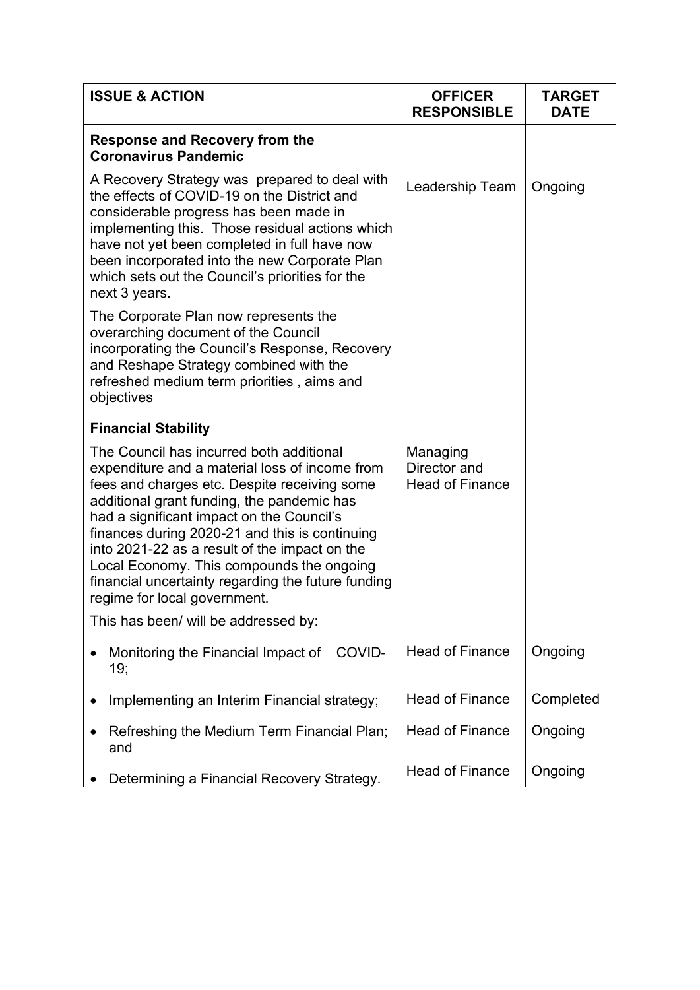| <b>ISSUE &amp; ACTION</b>                                                                                                                                                                                                                                                                                                                                                                                                                                                   | <b>OFFICER</b><br><b>RESPONSIBLE</b>               | <b>TARGET</b><br><b>DATE</b> |
|-----------------------------------------------------------------------------------------------------------------------------------------------------------------------------------------------------------------------------------------------------------------------------------------------------------------------------------------------------------------------------------------------------------------------------------------------------------------------------|----------------------------------------------------|------------------------------|
| <b>Response and Recovery from the</b><br><b>Coronavirus Pandemic</b>                                                                                                                                                                                                                                                                                                                                                                                                        |                                                    |                              |
| A Recovery Strategy was prepared to deal with<br>the effects of COVID-19 on the District and<br>considerable progress has been made in<br>implementing this. Those residual actions which<br>have not yet been completed in full have now<br>been incorporated into the new Corporate Plan<br>which sets out the Council's priorities for the<br>next 3 years.                                                                                                              | Leadership Team                                    | Ongoing                      |
| The Corporate Plan now represents the<br>overarching document of the Council<br>incorporating the Council's Response, Recovery<br>and Reshape Strategy combined with the<br>refreshed medium term priorities, aims and<br>objectives                                                                                                                                                                                                                                        |                                                    |                              |
| <b>Financial Stability</b>                                                                                                                                                                                                                                                                                                                                                                                                                                                  |                                                    |                              |
| The Council has incurred both additional<br>expenditure and a material loss of income from<br>fees and charges etc. Despite receiving some<br>additional grant funding, the pandemic has<br>had a significant impact on the Council's<br>finances during 2020-21 and this is continuing<br>into 2021-22 as a result of the impact on the<br>Local Economy. This compounds the ongoing<br>financial uncertainty regarding the future funding<br>regime for local government. | Managing<br>Director and<br><b>Head of Finance</b> |                              |
| This has been/ will be addressed by:                                                                                                                                                                                                                                                                                                                                                                                                                                        |                                                    |                              |
| COVID-<br>Monitoring the Financial Impact of<br>19;                                                                                                                                                                                                                                                                                                                                                                                                                         | <b>Head of Finance</b>                             | Ongoing                      |
| Implementing an Interim Financial strategy;                                                                                                                                                                                                                                                                                                                                                                                                                                 | <b>Head of Finance</b>                             | Completed                    |
| Refreshing the Medium Term Financial Plan;<br>and                                                                                                                                                                                                                                                                                                                                                                                                                           | <b>Head of Finance</b>                             | Ongoing                      |
| Determining a Financial Recovery Strategy.                                                                                                                                                                                                                                                                                                                                                                                                                                  | <b>Head of Finance</b>                             | Ongoing                      |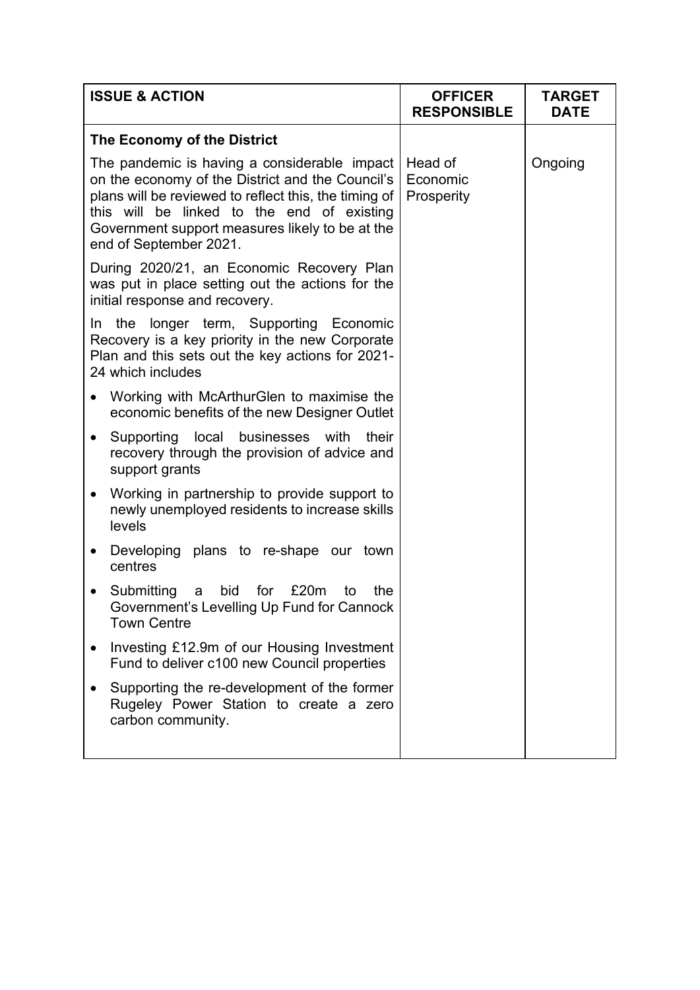|           | <b>ISSUE &amp; ACTION</b>                                                                                                                                                                                                                                                            | <b>OFFICER</b><br><b>RESPONSIBLE</b> | <b>TARGET</b><br><b>DATE</b> |
|-----------|--------------------------------------------------------------------------------------------------------------------------------------------------------------------------------------------------------------------------------------------------------------------------------------|--------------------------------------|------------------------------|
|           | The Economy of the District                                                                                                                                                                                                                                                          |                                      |                              |
|           | The pandemic is having a considerable impact<br>on the economy of the District and the Council's<br>plans will be reviewed to reflect this, the timing of<br>this will be linked to the end of existing<br>Government support measures likely to be at the<br>end of September 2021. | Head of<br>Economic<br>Prosperity    | Ongoing                      |
|           | During 2020/21, an Economic Recovery Plan<br>was put in place setting out the actions for the<br>initial response and recovery.                                                                                                                                                      |                                      |                              |
|           | In the longer term, Supporting Economic<br>Recovery is a key priority in the new Corporate<br>Plan and this sets out the key actions for 2021-<br>24 which includes                                                                                                                  |                                      |                              |
| ٠         | Working with McArthurGlen to maximise the<br>economic benefits of the new Designer Outlet                                                                                                                                                                                            |                                      |                              |
| $\bullet$ | Supporting local businesses with<br>their<br>recovery through the provision of advice and<br>support grants                                                                                                                                                                          |                                      |                              |
| $\bullet$ | Working in partnership to provide support to<br>newly unemployed residents to increase skills<br>levels                                                                                                                                                                              |                                      |                              |
| $\bullet$ | Developing plans to re-shape our town<br>centres                                                                                                                                                                                                                                     |                                      |                              |
| $\bullet$ | bid<br>£20m<br>Submitting<br>for<br>the<br>to<br>a<br>Government's Levelling Up Fund for Cannock<br><b>Town Centre</b>                                                                                                                                                               |                                      |                              |
|           | Investing £12.9m of our Housing Investment<br>Fund to deliver c100 new Council properties                                                                                                                                                                                            |                                      |                              |
|           | Supporting the re-development of the former<br>Rugeley Power Station to create a zero<br>carbon community.                                                                                                                                                                           |                                      |                              |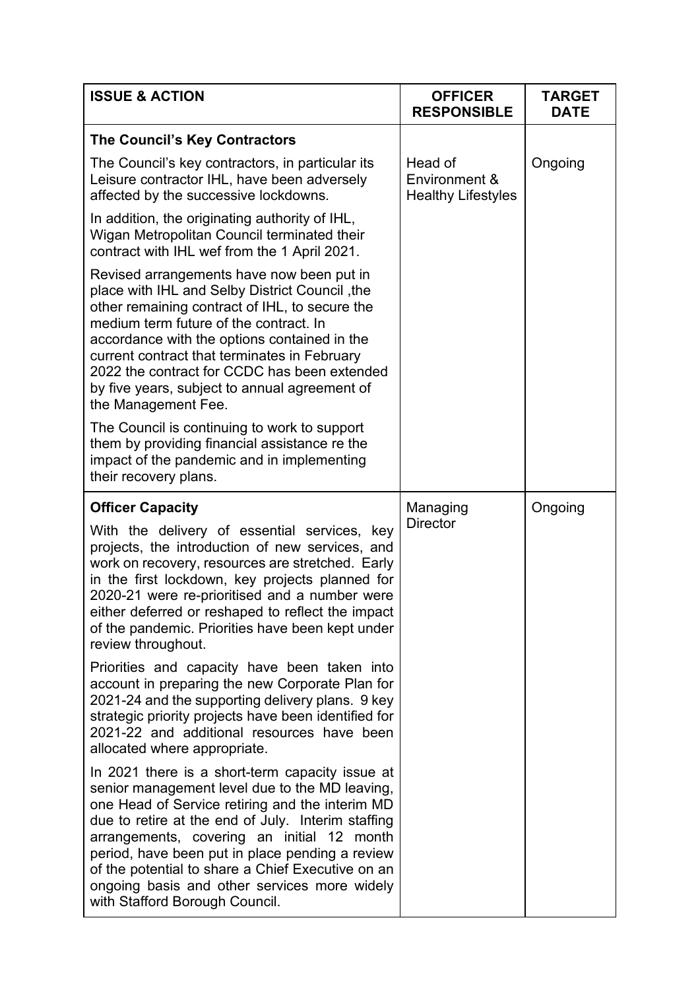| <b>ISSUE &amp; ACTION</b>                                                                                                                                                                                                                                                                                                                                                                                                                          | <b>OFFICER</b><br><b>RESPONSIBLE</b>                  | <b>TARGET</b><br><b>DATE</b> |
|----------------------------------------------------------------------------------------------------------------------------------------------------------------------------------------------------------------------------------------------------------------------------------------------------------------------------------------------------------------------------------------------------------------------------------------------------|-------------------------------------------------------|------------------------------|
| The Council's Key Contractors                                                                                                                                                                                                                                                                                                                                                                                                                      |                                                       |                              |
| The Council's key contractors, in particular its<br>Leisure contractor IHL, have been adversely<br>affected by the successive lockdowns.                                                                                                                                                                                                                                                                                                           | Head of<br>Environment &<br><b>Healthy Lifestyles</b> | Ongoing                      |
| In addition, the originating authority of IHL,<br>Wigan Metropolitan Council terminated their<br>contract with IHL wef from the 1 April 2021.                                                                                                                                                                                                                                                                                                      |                                                       |                              |
| Revised arrangements have now been put in<br>place with IHL and Selby District Council, the<br>other remaining contract of IHL, to secure the<br>medium term future of the contract. In<br>accordance with the options contained in the<br>current contract that terminates in February<br>2022 the contract for CCDC has been extended<br>by five years, subject to annual agreement of<br>the Management Fee.                                    |                                                       |                              |
| The Council is continuing to work to support<br>them by providing financial assistance re the<br>impact of the pandemic and in implementing<br>their recovery plans.                                                                                                                                                                                                                                                                               |                                                       |                              |
| <b>Officer Capacity</b>                                                                                                                                                                                                                                                                                                                                                                                                                            | Managing                                              | Ongoing                      |
| With the delivery of essential services, key<br>projects, the introduction of new services, and<br>work on recovery, resources are stretched. Early<br>in the first lockdown, key projects planned for<br>2020-21 were re-prioritised and a number were<br>either deferred or reshaped to reflect the impact<br>of the pandemic. Priorities have been kept under<br>review throughout.                                                             | <b>Director</b>                                       |                              |
| Priorities and capacity have been taken into<br>account in preparing the new Corporate Plan for<br>2021-24 and the supporting delivery plans. 9 key<br>strategic priority projects have been identified for<br>2021-22 and additional resources have been<br>allocated where appropriate.                                                                                                                                                          |                                                       |                              |
| In 2021 there is a short-term capacity issue at<br>senior management level due to the MD leaving,<br>one Head of Service retiring and the interim MD<br>due to retire at the end of July. Interim staffing<br>arrangements, covering an initial 12 month<br>period, have been put in place pending a review<br>of the potential to share a Chief Executive on an<br>ongoing basis and other services more widely<br>with Stafford Borough Council. |                                                       |                              |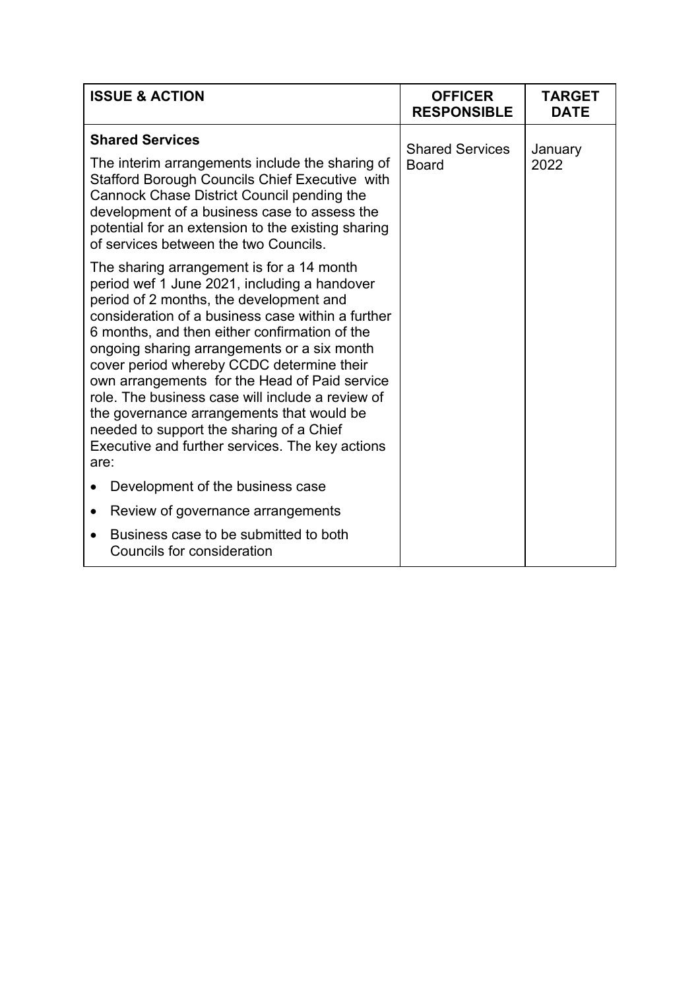| <b>ISSUE &amp; ACTION</b>                                                                                                                                                                                                                                                                                                                                                                                                                                                                                                                                                                       | <b>OFFICER</b><br><b>RESPONSIBLE</b>   | <b>TARGET</b><br><b>DATE</b> |
|-------------------------------------------------------------------------------------------------------------------------------------------------------------------------------------------------------------------------------------------------------------------------------------------------------------------------------------------------------------------------------------------------------------------------------------------------------------------------------------------------------------------------------------------------------------------------------------------------|----------------------------------------|------------------------------|
| <b>Shared Services</b><br>The interim arrangements include the sharing of<br><b>Stafford Borough Councils Chief Executive with</b><br>Cannock Chase District Council pending the<br>development of a business case to assess the<br>potential for an extension to the existing sharing<br>of services between the two Councils.                                                                                                                                                                                                                                                                 | <b>Shared Services</b><br><b>Board</b> | January<br>2022              |
| The sharing arrangement is for a 14 month<br>period wef 1 June 2021, including a handover<br>period of 2 months, the development and<br>consideration of a business case within a further<br>6 months, and then either confirmation of the<br>ongoing sharing arrangements or a six month<br>cover period whereby CCDC determine their<br>own arrangements for the Head of Paid service<br>role. The business case will include a review of<br>the governance arrangements that would be<br>needed to support the sharing of a Chief<br>Executive and further services. The key actions<br>are: |                                        |                              |
| Development of the business case<br>$\bullet$                                                                                                                                                                                                                                                                                                                                                                                                                                                                                                                                                   |                                        |                              |
| Review of governance arrangements<br>$\bullet$                                                                                                                                                                                                                                                                                                                                                                                                                                                                                                                                                  |                                        |                              |
| Business case to be submitted to both<br><b>Councils for consideration</b>                                                                                                                                                                                                                                                                                                                                                                                                                                                                                                                      |                                        |                              |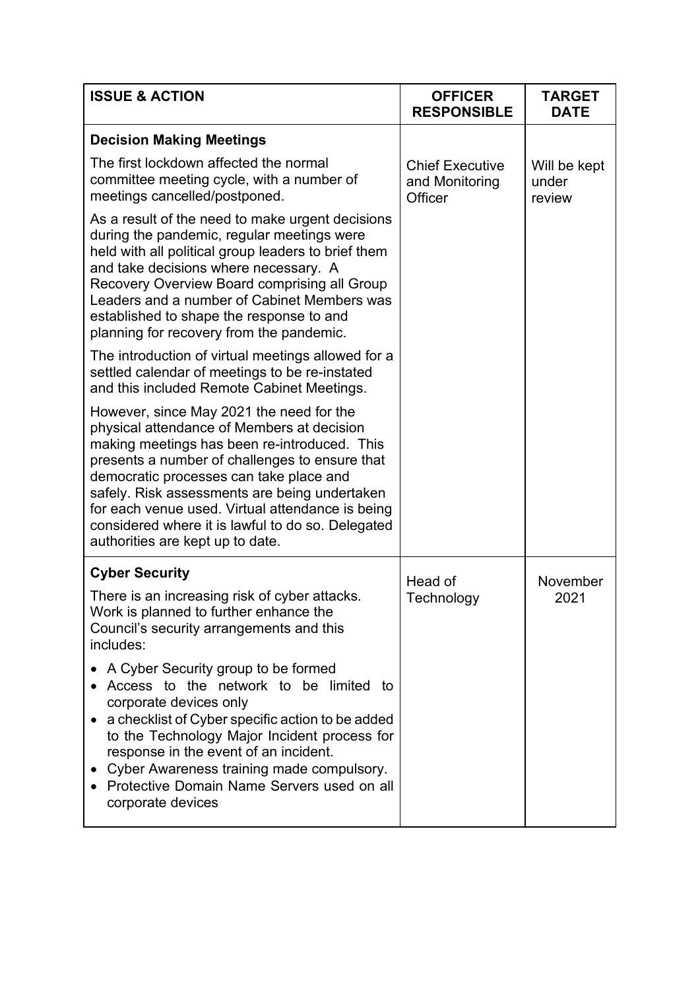| <b>ISSUE &amp; ACTION</b>                                                                                                                                                                                                                                                                                                                                                                                                         | <b>OFFICER</b><br><b>RESPONSIBLE</b>                | <b>TARGET</b><br><b>DATE</b>    |
|-----------------------------------------------------------------------------------------------------------------------------------------------------------------------------------------------------------------------------------------------------------------------------------------------------------------------------------------------------------------------------------------------------------------------------------|-----------------------------------------------------|---------------------------------|
| <b>Decision Making Meetings</b>                                                                                                                                                                                                                                                                                                                                                                                                   |                                                     |                                 |
| The first lockdown affected the normal<br>committee meeting cycle, with a number of<br>meetings cancelled/postponed.                                                                                                                                                                                                                                                                                                              | <b>Chief Executive</b><br>and Monitoring<br>Officer | Will be kept<br>under<br>review |
| As a result of the need to make urgent decisions<br>during the pandemic, regular meetings were<br>held with all political group leaders to brief them<br>and take decisions where necessary. A<br>Recovery Overview Board comprising all Group<br>Leaders and a number of Cabinet Members was<br>established to shape the response to and<br>planning for recovery from the pandemic.                                             |                                                     |                                 |
| The introduction of virtual meetings allowed for a<br>settled calendar of meetings to be re-instated<br>and this included Remote Cabinet Meetings.                                                                                                                                                                                                                                                                                |                                                     |                                 |
| However, since May 2021 the need for the<br>physical attendance of Members at decision<br>making meetings has been re-introduced. This<br>presents a number of challenges to ensure that<br>democratic processes can take place and<br>safely. Risk assessments are being undertaken<br>for each venue used. Virtual attendance is being<br>considered where it is lawful to do so. Delegated<br>authorities are kept up to date. |                                                     |                                 |
| <b>Cyber Security</b>                                                                                                                                                                                                                                                                                                                                                                                                             | Head of                                             | November                        |
| There is an increasing risk of cyber attacks.<br>Work is planned to further enhance the<br>Council's security arrangements and this<br>includes:                                                                                                                                                                                                                                                                                  | Technology                                          | 2021                            |
| A Cyber Security group to be formed<br>Access to the network to be limited to<br>corporate devices only<br>a checklist of Cyber specific action to be added<br>to the Technology Major Incident process for<br>response in the event of an incident.<br>Cyber Awareness training made compulsory.<br>Protective Domain Name Servers used on all<br>corporate devices                                                              |                                                     |                                 |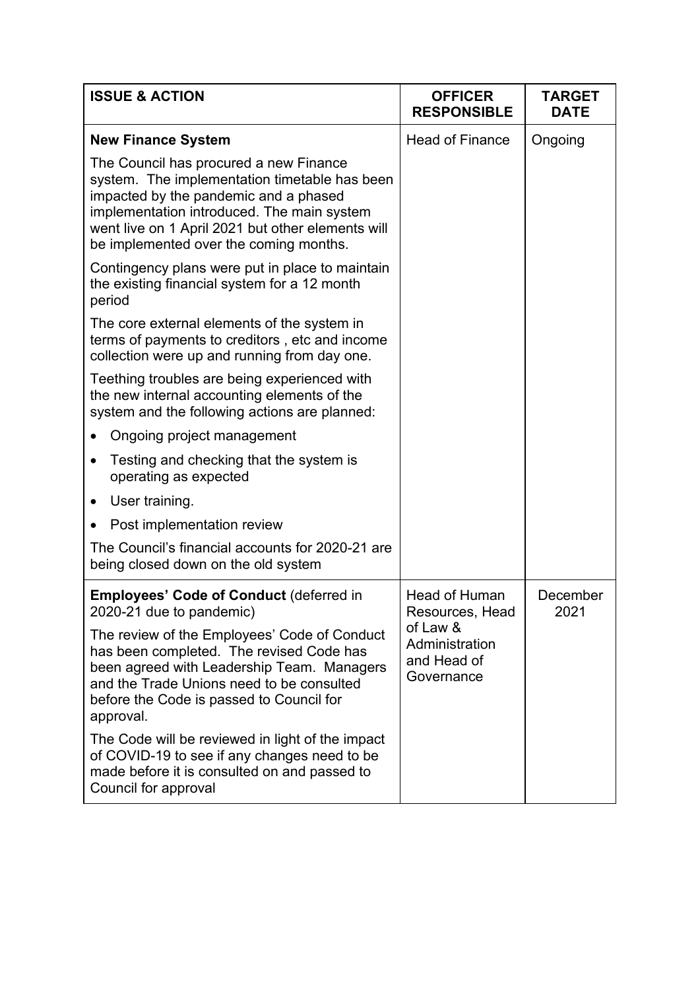| <b>ISSUE &amp; ACTION</b>                                                                                                                                                                                                                                                     | <b>OFFICER</b><br><b>RESPONSIBLE</b>                    | <b>TARGET</b><br><b>DATE</b> |
|-------------------------------------------------------------------------------------------------------------------------------------------------------------------------------------------------------------------------------------------------------------------------------|---------------------------------------------------------|------------------------------|
| <b>New Finance System</b>                                                                                                                                                                                                                                                     | <b>Head of Finance</b>                                  | Ongoing                      |
| The Council has procured a new Finance<br>system. The implementation timetable has been<br>impacted by the pandemic and a phased<br>implementation introduced. The main system<br>went live on 1 April 2021 but other elements will<br>be implemented over the coming months. |                                                         |                              |
| Contingency plans were put in place to maintain<br>the existing financial system for a 12 month<br>period                                                                                                                                                                     |                                                         |                              |
| The core external elements of the system in<br>terms of payments to creditors, etc and income<br>collection were up and running from day one.                                                                                                                                 |                                                         |                              |
| Teething troubles are being experienced with<br>the new internal accounting elements of the<br>system and the following actions are planned:                                                                                                                                  |                                                         |                              |
| Ongoing project management                                                                                                                                                                                                                                                    |                                                         |                              |
| Testing and checking that the system is<br>operating as expected                                                                                                                                                                                                              |                                                         |                              |
| User training.                                                                                                                                                                                                                                                                |                                                         |                              |
| Post implementation review                                                                                                                                                                                                                                                    |                                                         |                              |
| The Council's financial accounts for 2020-21 are<br>being closed down on the old system                                                                                                                                                                                       |                                                         |                              |
| <b>Employees' Code of Conduct (deferred in</b><br>2020-21 due to pandemic)                                                                                                                                                                                                    | <b>Head of Human</b><br>Resources, Head                 | December<br>2021             |
| The review of the Employees' Code of Conduct<br>has been completed. The revised Code has<br>been agreed with Leadership Team. Managers<br>and the Trade Unions need to be consulted<br>before the Code is passed to Council for<br>approval.                                  | of Law &<br>Administration<br>and Head of<br>Governance |                              |
| The Code will be reviewed in light of the impact<br>of COVID-19 to see if any changes need to be<br>made before it is consulted on and passed to<br>Council for approval                                                                                                      |                                                         |                              |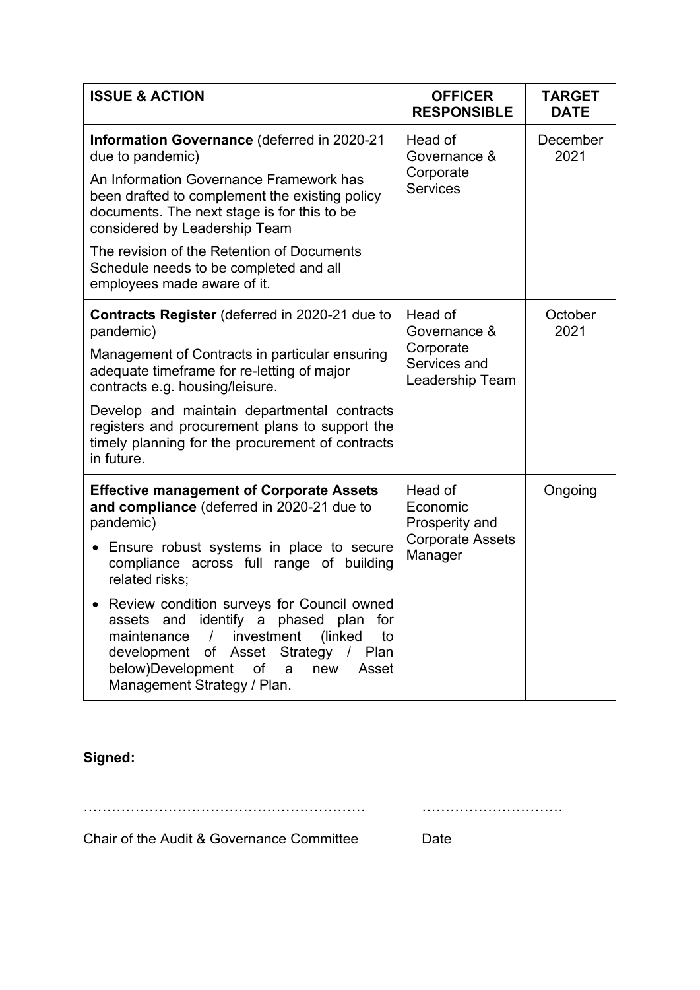| <b>ISSUE &amp; ACTION</b>                                                                                                                                                                                                                                                                                                                                                                                                                                                                             | <b>OFFICER</b><br><b>RESPONSIBLE</b>                                        | <b>TARGET</b><br><b>DATE</b> |
|-------------------------------------------------------------------------------------------------------------------------------------------------------------------------------------------------------------------------------------------------------------------------------------------------------------------------------------------------------------------------------------------------------------------------------------------------------------------------------------------------------|-----------------------------------------------------------------------------|------------------------------|
| <b>Information Governance (deferred in 2020-21</b><br>due to pandemic)<br>An Information Governance Framework has<br>been drafted to complement the existing policy<br>documents. The next stage is for this to be<br>considered by Leadership Team<br>The revision of the Retention of Documents<br>Schedule needs to be completed and all<br>employees made aware of it.                                                                                                                            | Head of<br>Governance &<br>Corporate<br><b>Services</b>                     | December<br>2021             |
| <b>Contracts Register</b> (deferred in 2020-21 due to<br>pandemic)<br>Management of Contracts in particular ensuring<br>adequate timeframe for re-letting of major<br>contracts e.g. housing/leisure.<br>Develop and maintain departmental contracts<br>registers and procurement plans to support the<br>timely planning for the procurement of contracts<br>in future.                                                                                                                              | Head of<br>Governance &<br>Corporate<br>Services and<br>Leadership Team     | October<br>2021              |
| <b>Effective management of Corporate Assets</b><br>and compliance (deferred in 2020-21 due to<br>pandemic)<br>• Ensure robust systems in place to secure<br>compliance across full range of building<br>related risks:<br>• Review condition surveys for Council owned<br>assets and identify a phased plan<br>for<br>maintenance<br>investment (linked<br>to<br>$\frac{1}{2}$<br>development of Asset Strategy /<br>Plan<br>below)Development of<br>new<br>Asset<br>a<br>Management Strategy / Plan. | Head of<br>Economic<br>Prosperity and<br><b>Corporate Assets</b><br>Manager | Ongoing                      |

**Signed:**

…………………………………………………… …………………………

Chair of the Audit & Governance Committee Date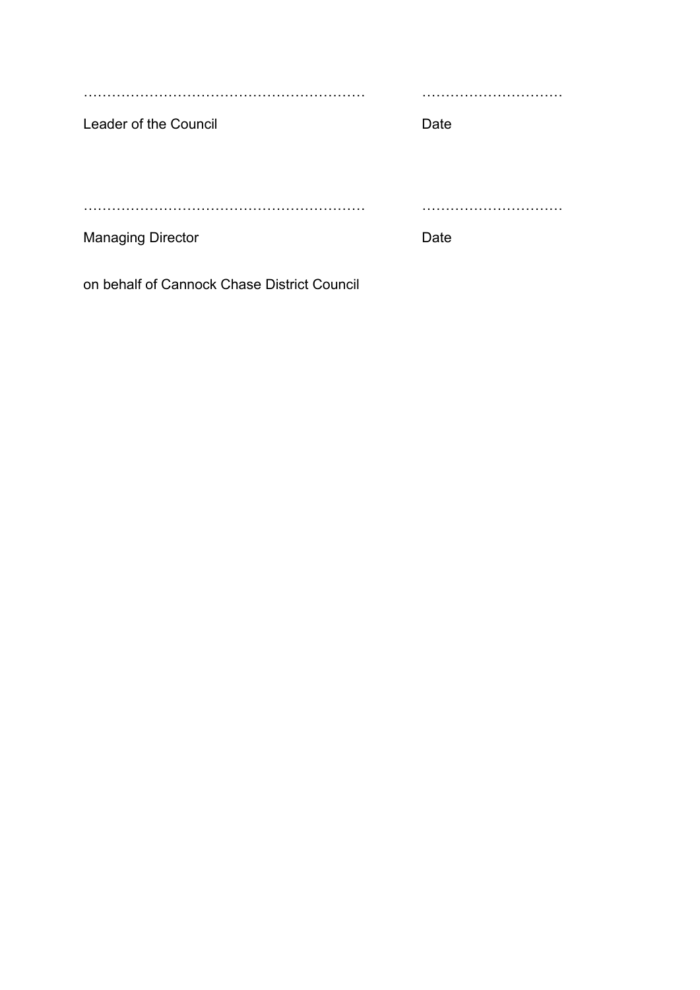…………………………………………………… ………………………… Leader of the Council **Date** …………………………………………………… ………………………… Managing Director **Date** 

on behalf of Cannock Chase District Council